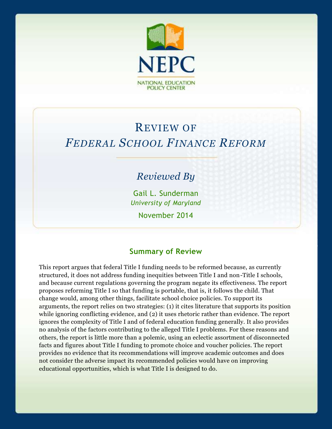

# REVIEW OF *FEDERAL SCHOOL FINANCE REFORM*

## *Reviewed By*

Gail L. Sunderman *University of Maryland* November 2014

#### **Summary of Review**

This report argues that federal Title I funding needs to be reformed because, as currently structured, it does not address funding inequities between Title I and non-Title I schools, and because current regulations governing the program negate its effectiveness. The report proposes reforming Title I so that funding is portable, that is, it follows the child. That change would, among other things, facilitate school choice policies. To support its arguments, the report relies on two strategies: (1) it cites literature that supports its position while ignoring conflicting evidence, and (2) it uses rhetoric rather than evidence. The report ignores the complexity of Title I and of federal education funding generally. It also provides no analysis of the factors contributing to the alleged Title I problems. For these reasons and others, the report is little more than a polemic, using an eclectic assortment of disconnected facts and figures about Title I funding to promote choice and voucher policies. The report provides no evidence that its recommendations will improve academic outcomes and does not consider the adverse impact its recommended policies would have on improving educational opportunities, which is what Title I is designed to do.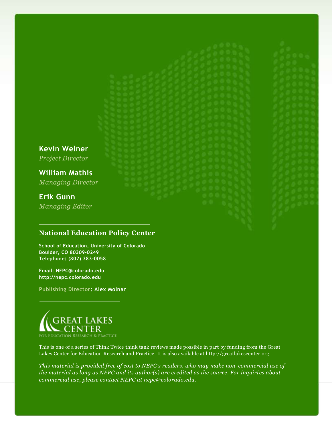**Kevin Welner** *Project Director*

**William Mathis** *Managing Director*

## **Erik Gunn**

*Managing Editor*

#### **National Education Policy Center**

**School of Education, University of Colorado Boulder, CO 80309-0249 Telephone: (802) 383-0058**

**Email: NEPC@colorado.edu http://nepc.colorado.edu**

**Publishing Director: Alex Molnar**



This is one of a series of Think Twice think tank reviews made possible in part by funding from the Great Lakes Center for Education Research and Practice. It is also available at http://greatlakescenter.org.

*This material is provided free of cost to NEPC's readers, who may make non-commercial use of the material as long as NEPC and its author(s) are credited as the source. For inquiries about commercial use, please contact NEPC at nepc@colorado.edu.*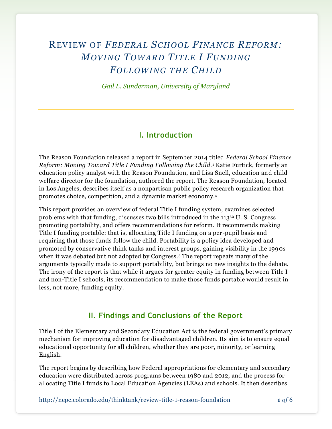# REVIEW OF *FEDERAL SCHOOL FINANCE REFORM: MOVING TOWARD TITLE I FUNDING FOLLOWING THE CHILD*

*Gail L. Sunderman, University of Maryland*

#### **I. Introduction**

The Reason Foundation released a report in September 2014 titled *Federal School Finance Reform: Moving Toward Title I Funding Following the Child.* <sup>1</sup> Katie Furtick, formerly an education policy analyst with the Reason Foundation, and Lisa Snell, education and child welfare director for the foundation, authored the report. The Reason Foundation, located in Los Angeles, describes itself as a nonpartisan public policy research organization that promotes choice, competition, and a dynamic market economy.<sup>2</sup>

This report provides an overview of federal Title I funding system, examines selected problems with that funding, discusses two bills introduced in the  $113<sup>th</sup>$  U. S. Congress promoting portability, and offers recommendations for reform. It recommends making Title I funding portable: that is, allocating Title I funding on a per-pupil basis and requiring that those funds follow the child. Portability is a policy idea developed and promoted by conservative think tanks and interest groups, gaining visibility in the 1990s when it was debated but not adopted by Congress.<sup>3</sup> The report repeats many of the arguments typically made to support portability, but brings no new insights to the debate. The irony of the report is that while it argues for greater equity in funding between Title I and non-Title I schools, its recommendation to make those funds portable would result in less, not more, funding equity.

#### **II. Findings and Conclusions of the Report**

Title I of the Elementary and Secondary Education Act is the federal government's primary mechanism for improving education for disadvantaged children. Its aim is to ensure equal educational opportunity for all children, whether they are poor, minority, or learning English.

The report begins by describing how Federal appropriations for elementary and secondary education were distributed across programs between 1980 and 2012, and the process for allocating Title I funds to Local Education Agencies (LEAs) and schools. It then describes

http://nepc.colorado.edu/thinktank/review-title-1-reason-foundation **1** *of* 6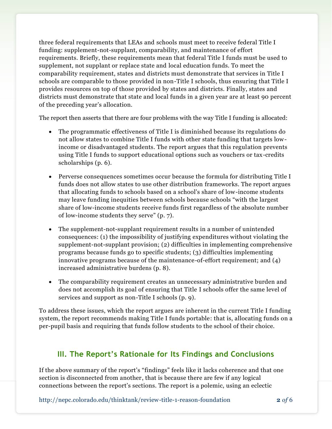three federal requirements that LEAs and schools must meet to receive federal Title I funding: supplement-not-supplant, comparability, and maintenance of effort requirements. Briefly, these requirements mean that federal Title I funds must be used to supplement, not supplant or replace state and local education funds. To meet the comparability requirement, states and districts must demonstrate that services in Title I schools are comparable to those provided in non-Title I schools, thus ensuring that Title I provides resources on top of those provided by states and districts. Finally, states and districts must demonstrate that state and local funds in a given year are at least 90 percent of the preceding year's allocation.

The report then asserts that there are four problems with the way Title I funding is allocated:

- The programmatic effectiveness of Title I is diminished because its regulations do not allow states to combine Title I funds with other state funding that targets lowincome or disadvantaged students. The report argues that this regulation prevents using Title I funds to support educational options such as vouchers or tax-credits scholarships (p. 6).
- Perverse consequences sometimes occur because the formula for distributing Title I funds does not allow states to use other distribution frameworks. The report argues that allocating funds to schools based on a school's share of low-income students may leave funding inequities between schools because schools "with the largest share of low-income students receive funds first regardless of the absolute number of low-income students they serve" (p. 7).
- The supplement-not-supplant requirement results in a number of unintended consequences: (1) the impossibility of justifying expenditures without violating the supplement-not-supplant provision; (2) difficulties in implementing comprehensive programs because funds go to specific students; (3) difficulties implementing innovative programs because of the maintenance-of-effort requirement; and (4) increased administrative burdens (p. 8).
- The comparability requirement creates an unnecessary administrative burden and does not accomplish its goal of ensuring that Title I schools offer the same level of services and support as non-Title I schools (p. 9).

To address these issues, which the report argues are inherent in the current Title I funding system, the report recommends making Title I funds portable: that is, allocating funds on a per-pupil basis and requiring that funds follow students to the school of their choice.

#### **III. The Report's Rationale for Its Findings and Conclusions**

If the above summary of the report's "findings" feels like it lacks coherence and that one section is disconnected from another, that is because there are few if any logical connections between the report's sections. The report is a polemic, using an eclectic

http://nepc.colorado.edu/thinktank/review-title-1-reason-foundation **2** *of* 6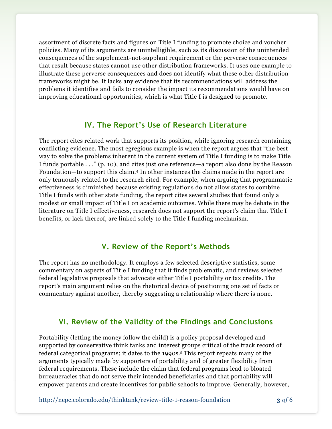assortment of discrete facts and figures on Title I funding to promote choice and voucher policies. Many of its arguments are unintelligible, such as its discussion of the unintended consequences of the supplement-not-supplant requirement or the perverse consequences that result because states cannot use other distribution frameworks. It uses one example to illustrate these perverse consequences and does not identify what these other distribution frameworks might be. It lacks any evidence that its recommendations will address the problems it identifies and fails to consider the impact its recommendations would have on improving educational opportunities, which is what Title I is designed to promote.

#### **IV. The Report's Use of Research Literature**

The report cites related work that supports its position, while ignoring research containing conflicting evidence. The most egregious example is when the report argues that "the best way to solve the problems inherent in the current system of Title I funding is to make Title I funds portable . . ." (p. 10), and cites just one reference—a report also done by the Reason Foundation—to support this claim.<sup>4</sup> In other instances the claims made in the report are only tenuously related to the research cited. For example, when arguing that programmatic effectiveness is diminished because existing regulations do not allow states to combine Title I funds with other state funding, the report cites several studies that found only a modest or small impact of Title I on academic outcomes. While there may be debate in the literature on Title I effectiveness, research does not support the report's claim that Title I benefits, or lack thereof, are linked solely to the Title I funding mechanism.

#### **V. Review of the Report's Methods**

The report has no methodology. It employs a few selected descriptive statistics, some commentary on aspects of Title I funding that it finds problematic, and reviews selected federal legislative proposals that advocate either Title I portability or tax credits. The report's main argument relies on the rhetorical device of positioning one set of facts or commentary against another, thereby suggesting a relationship where there is none.

#### **VI. Review of the Validity of the Findings and Conclusions**

Portability (letting the money follow the child) is a policy proposal developed and supported by conservative think tanks and interest groups critical of the track record of federal categorical programs; it dates to the 1990s.<sup>5</sup> This report repeats many of the arguments typically made by supporters of portability and of greater flexibility from federal requirements. These include the claim that federal programs lead to bloated bureaucracies that do not serve their intended beneficiaries and that portability will empower parents and create incentives for public schools to improve. Generally, however,

http://nepc.colorado.edu/thinktank/review-title-1-reason-foundation **3** *of* 6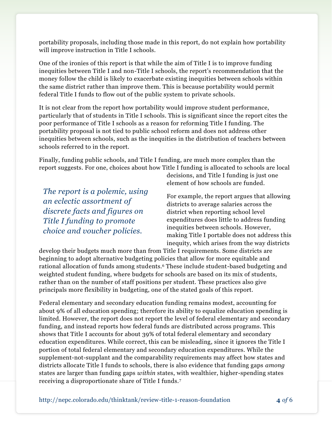portability proposals, including those made in this report, do not explain how portability will improve instruction in Title I schools.

One of the ironies of this report is that while the aim of Title I is to improve funding inequities between Title I and non-Title I schools, the report's recommendation that the money follow the child is likely to exacerbate existing inequities between schools within the same district rather than improve them. This is because portability would permit federal Title I funds to flow out of the public system to private schools.

It is not clear from the report how portability would improve student performance, particularly that of students in Title I schools. This is significant since the report cites the poor performance of Title I schools as a reason for reforming Title I funding. The portability proposal is not tied to public school reform and does not address other inequities between schools, such as the inequities in the distribution of teachers between schools referred to in the report.

Finally, funding public schools, and Title I funding, are much more complex than the report suggests. For one, choices about how Title I funding is allocated to schools are local

*The report is a polemic, using an eclectic assortment of discrete facts and figures on Title I funding to promote choice and voucher policies.*

decisions, and Title I funding is just one element of how schools are funded.

For example, the report argues that allowing districts to average salaries across the district when reporting school level expenditures does little to address funding inequities between schools. However, making Title I portable does not address this inequity, which arises from the way districts

develop their budgets much more than from Title I requirements. Some districts are beginning to adopt alternative budgeting policies that allow for more equitable and rational allocation of funds among students.<sup>6</sup> These include student-based budgeting and weighted student funding, where budgets for schools are based on its mix of students, rather than on the number of staff positions per student. These practices also give principals more flexibility in budgeting, one of the stated goals of this report.

Federal elementary and secondary education funding remains modest, accounting for about 9% of all education spending; therefore its ability to equalize education spending is limited. However, the report does not report the level of federal elementary and secondary funding, and instead reports how federal funds are distributed across programs. This shows that Title I accounts for about 39% of total federal elementary and secondary education expenditures. While correct, this can be misleading, since it ignores the Title I portion of total federal elementary and secondary education expenditures. While the supplement-not-supplant and the comparability requirements may affect how states and districts allocate Title I funds to schools, there is also evidence that funding gaps *among* states are larger than funding gaps *within* states, with wealthier, higher-spending states receiving a disproportionate share of Title I funds.<sup>7</sup>

http://nepc.colorado.edu/thinktank/review-title-1-reason-foundation **4** *of* 6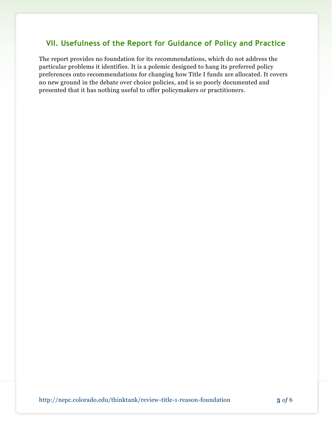#### **VII. Usefulness of the Report for Guidance of Policy and Practice**

The report provides no foundation for its recommendations, which do not address the particular problems it identifies. It is a polemic designed to hang its preferred policy preferences onto recommendations for changing how Title I funds are allocated. It covers no new ground in the debate over choice policies, and is so poorly documented and presented that it has nothing useful to offer policymakers or practitioners.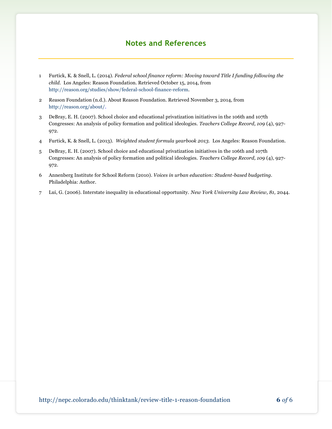### **Notes and References**

- 1 Furtick, K. & Snell, L. (2014). *Federal school finance reform: Moving toward Title I funding following the child.* Los Angeles: Reason Foundation. Retrieved October 15, 2014, from [http://reason.org/studies/show/federal-school-finance-reform.](http://reason.org/studies/show/federal-school-finance-reform)
- 2 Reason Foundation (n.d.). About Reason Foundation. Retrieved November 3, 2014, from [http://reason.org/about/.](http://reason.org/about/)
- 3 DeBray, E. H. (2007). School choice and educational privatization initiatives in the 106th and 107th Congresses: An analysis of policy formation and political ideologies. *Teachers College Record, 109* (4), 927- 972.
- 4 Furtick, K. & Snell, L. (2013). *Weighted student formula yearbook 2013.* Los Angeles: Reason Foundation.
- 5 DeBray, E. H. (2007). School choice and educational privatization initiatives in the 106th and 107th Congresses: An analysis of policy formation and political ideologies. *Teachers College Record, 109* (4), 927- 972.
- 6 Annenberg Institute for School Reform (2010). *Voices in urban education: Student-based budgeting.*  Philadelphia: Author.
- 7 Lui, G. (2006). Interstate inequality in educational opportunity. *New York University Law Review, 81,* 2044.